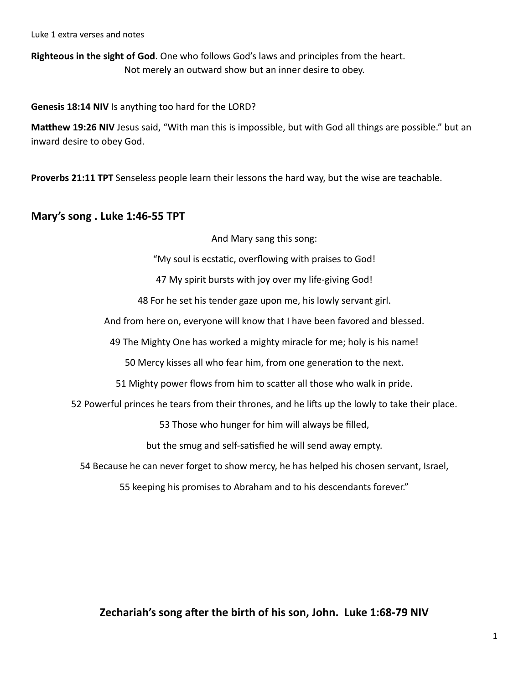Luke 1 extra verses and notes

**Righteous in the sight of God**. One who follows God's laws and principles from the heart. Not merely an outward show but an inner desire to obey.

**Genesis 18:14 NIV** Is anything too hard for the LORD?

**Matthew 19:26 NIV** Jesus said, "With man this is impossible, but with God all things are possible." but an inward desire to obey God.

**Proverbs 21:11 TPT** Senseless people learn their lessons the hard way, but the wise are teachable.

## **Mary's song . Luke 1:46-55 TPT**

And Mary sang this song:

"My soul is ecstatic, overflowing with praises to God!

47 My spirit bursts with joy over my life-giving God!

48 For he set his tender gaze upon me, his lowly servant girl.

And from here on, everyone will know that I have been favored and blessed.

49 The Mighty One has worked a mighty miracle for me; holy is his name!

50 Mercy kisses all who fear him, from one generation to the next.

51 Mighty power flows from him to scatter all those who walk in pride.

52 Powerful princes he tears from their thrones, and he lifts up the lowly to take their place.

53 Those who hunger for him will always be filled,

but the smug and self-satisfied he will send away empty.

54 Because he can never forget to show mercy, he has helped his chosen servant, Israel,

55 keeping his promises to Abraham and to his descendants forever."

**Zechariah's song after the birth of his son, John. Luke 1:68-79 NIV**